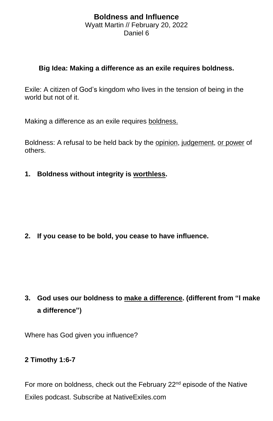## **Boldness and Influence** Wyatt Martin // February 20, 2022 Daniel 6

## **Big Idea: Making a difference as an exile requires boldness.**

Exile: A citizen of God's kingdom who lives in the tension of being in the world but not of it.

Making a difference as an exile requires boldness.

Boldness: A refusal to be held back by the opinion, judgement, or power of others.

**1. Boldness without integrity is worthless.**

**2. If you cease to be bold, you cease to have influence.**

**3. God uses our boldness to make a difference. (different from "I make a difference")**

Where has God given you influence?

## **2 Timothy 1:6-7**

For more on boldness, check out the February 22<sup>nd</sup> episode of the Native Exiles podcast. Subscribe at NativeExiles.com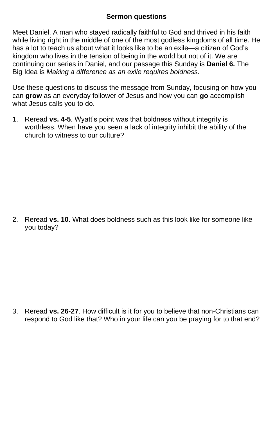## **Sermon questions**

Meet Daniel. A man who stayed radically faithful to God and thrived in his faith while living right in the middle of one of the most godless kingdoms of all time. He has a lot to teach us about what it looks like to be an exile—a citizen of God's kingdom who lives in the tension of being in the world but not of it. We are continuing our series in Daniel, and our passage this Sunday is **Daniel 6.** The Big Idea is *Making a difference as an exile requires boldness.*

Use these questions to discuss the message from Sunday, focusing on how you can **grow** as an everyday follower of Jesus and how you can **go** accomplish what Jesus calls you to do.

1. Reread **vs. 4-5**. Wyatt's point was that boldness without integrity is worthless. When have you seen a lack of integrity inhibit the ability of the church to witness to our culture?

2. Reread **vs. 10**. What does boldness such as this look like for someone like you today?

3. Reread **vs. 26-27**. How difficult is it for you to believe that non-Christians can respond to God like that? Who in your life can you be praying for to that end?